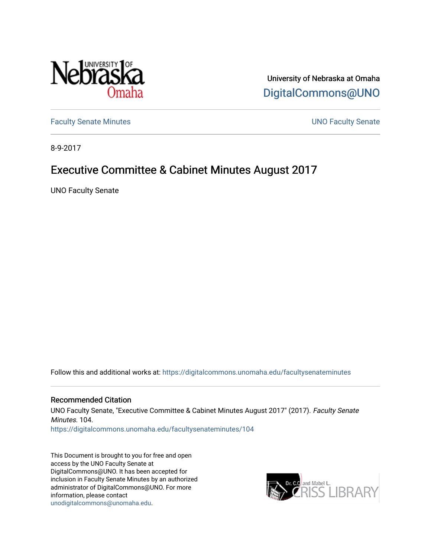

University of Nebraska at Omaha [DigitalCommons@UNO](https://digitalcommons.unomaha.edu/) 

[Faculty Senate Minutes](https://digitalcommons.unomaha.edu/facultysenateminutes) **Example 2018** UNO Faculty Senate

8-9-2017

# Executive Committee & Cabinet Minutes August 2017

UNO Faculty Senate

Follow this and additional works at: [https://digitalcommons.unomaha.edu/facultysenateminutes](https://digitalcommons.unomaha.edu/facultysenateminutes?utm_source=digitalcommons.unomaha.edu%2Ffacultysenateminutes%2F104&utm_medium=PDF&utm_campaign=PDFCoverPages) 

#### Recommended Citation

UNO Faculty Senate, "Executive Committee & Cabinet Minutes August 2017" (2017). Faculty Senate Minutes. 104.

[https://digitalcommons.unomaha.edu/facultysenateminutes/104](https://digitalcommons.unomaha.edu/facultysenateminutes/104?utm_source=digitalcommons.unomaha.edu%2Ffacultysenateminutes%2F104&utm_medium=PDF&utm_campaign=PDFCoverPages) 

This Document is brought to you for free and open access by the UNO Faculty Senate at DigitalCommons@UNO. It has been accepted for inclusion in Faculty Senate Minutes by an authorized administrator of DigitalCommons@UNO. For more information, please contact [unodigitalcommons@unomaha.edu.](mailto:unodigitalcommons@unomaha.edu)

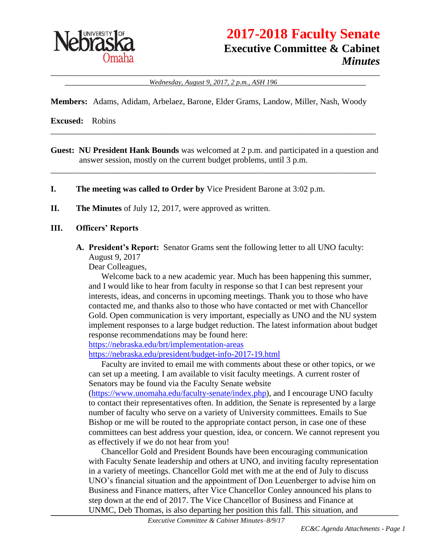

# **2017-2018 Faculty Senate Executive Committee & Cabinet** *Minutes*

\_\_\_\_\_\_\_\_\_\_\_\_\_\_\_\_\_\_\_\_\_\_\_\_\_\_\_\_\_\_\_\_\_\_\_\_\_\_\_\_\_\_\_\_\_\_\_\_\_\_\_\_\_\_\_\_\_\_\_\_\_\_\_\_\_\_\_\_\_\_\_\_\_\_\_\_\_\_ \_\_\_\_\_\_\_\_\_\_\_\_\_\_\_\_\_\_\_\_*Wednesday, August 9, 2017, 2 p.m., ASH 196*\_\_\_\_\_\_\_\_\_\_\_\_\_\_\_\_\_\_\_\_\_

**Members:** Adams, Adidam, Arbelaez, Barone, Elder Grams, Landow, Miller, Nash, Woody

**Excused:** Robins

**Guest: NU President Hank Bounds** was welcomed at 2 p.m. and participated in a question and answer session, mostly on the current budget problems, until 3 p.m.

\_\_\_\_\_\_\_\_\_\_\_\_\_\_\_\_\_\_\_\_\_\_\_\_\_\_\_\_\_\_\_\_\_\_\_\_\_\_\_\_\_\_\_\_\_\_\_\_\_\_\_\_\_\_\_\_\_\_\_\_\_\_\_\_\_\_\_\_\_\_\_\_\_\_\_\_\_

\_\_\_\_\_\_\_\_\_\_\_\_\_\_\_\_\_\_\_\_\_\_\_\_\_\_\_\_\_\_\_\_\_\_\_\_\_\_\_\_\_\_\_\_\_\_\_\_\_\_\_\_\_\_\_\_\_\_\_\_\_\_\_\_\_\_\_\_\_\_\_\_\_\_\_\_\_

- **I. The meeting was called to Order by** Vice President Barone at 3:02 p.m.
- **II. The Minutes** of July 12, 2017, were approved as written.

#### **III. Officers' Reports**

**A. President's Report:** Senator Grams sent the following letter to all UNO faculty: August 9, 2017

Dear Colleagues,

Welcome back to a new academic year. Much has been happening this summer, and I would like to hear from faculty in response so that I can best represent your interests, ideas, and concerns in upcoming meetings. Thank you to those who have contacted me, and thanks also to those who have contacted or met with Chancellor Gold. Open communication is very important, especially as UNO and the NU system implement responses to a large budget reduction. The latest information about budget response recommendations may be found here:

<https://nebraska.edu/brt/implementation-areas>

<https://nebraska.edu/president/budget-info-2017-19.html>

Faculty are invited to email me with comments about these or other topics, or we can set up a meeting. I am available to visit faculty meetings. A current roster of Senators may be found via the Faculty Senate website

[\(https://www.unomaha.edu/faculty-senate/index.php\)](https://www.unomaha.edu/faculty-senate/index.php), and I encourage UNO faculty to contact their representatives often. In addition, the Senate is represented by a large number of faculty who serve on a variety of University committees. Emails to Sue Bishop or me will be routed to the appropriate contact person, in case one of these committees can best address your question, idea, or concern. We cannot represent you as effectively if we do not hear from you!

Chancellor Gold and President Bounds have been encouraging communication with Faculty Senate leadership and others at UNO, and inviting faculty representation in a variety of meetings. Chancellor Gold met with me at the end of July to discuss UNO's financial situation and the appointment of Don Leuenberger to advise him on Business and Finance matters, after Vice Chancellor Conley announced his plans to step down at the end of 2017. The Vice Chancellor of Business and Finance at UNMC, Deb Thomas, is also departing her position this fall. This situation, and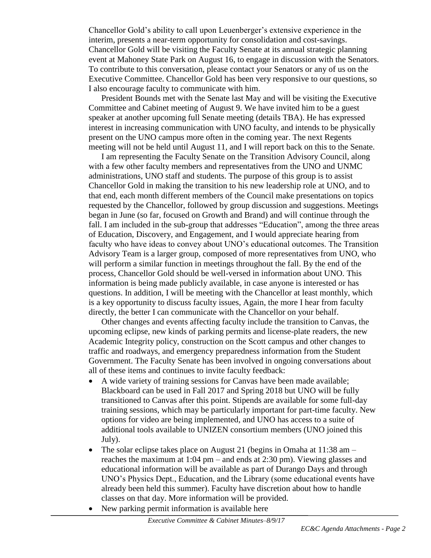Chancellor Gold's ability to call upon Leuenberger's extensive experience in the interim, presents a near-term opportunity for consolidation and cost-savings. Chancellor Gold will be visiting the Faculty Senate at its annual strategic planning event at Mahoney State Park on August 16, to engage in discussion with the Senators. To contribute to this conversation, please contact your Senators or any of us on the Executive Committee. Chancellor Gold has been very responsive to our questions, so I also encourage faculty to communicate with him.

President Bounds met with the Senate last May and will be visiting the Executive Committee and Cabinet meeting of August 9. We have invited him to be a guest speaker at another upcoming full Senate meeting (details TBA). He has expressed interest in increasing communication with UNO faculty, and intends to be physically present on the UNO campus more often in the coming year. The next Regents meeting will not be held until August 11, and I will report back on this to the Senate.

I am representing the Faculty Senate on the Transition Advisory Council, along with a few other faculty members and representatives from the UNO and UNMC administrations, UNO staff and students. The purpose of this group is to assist Chancellor Gold in making the transition to his new leadership role at UNO, and to that end, each month different members of the Council make presentations on topics requested by the Chancellor, followed by group discussion and suggestions. Meetings began in June (so far, focused on Growth and Brand) and will continue through the fall. I am included in the sub-group that addresses "Education", among the three areas of Education, Discovery, and Engagement, and I would appreciate hearing from faculty who have ideas to convey about UNO's educational outcomes. The Transition Advisory Team is a larger group, composed of more representatives from UNO, who will perform a similar function in meetings throughout the fall. By the end of the process, Chancellor Gold should be well-versed in information about UNO. This information is being made publicly available, in case anyone is interested or has questions. In addition, I will be meeting with the Chancellor at least monthly, which is a key opportunity to discuss faculty issues, Again, the more I hear from faculty directly, the better I can communicate with the Chancellor on your behalf.

Other changes and events affecting faculty include the transition to Canvas, the upcoming eclipse, new kinds of parking permits and license-plate readers, the new Academic Integrity policy, construction on the Scott campus and other changes to traffic and roadways, and emergency preparedness information from the Student Government. The Faculty Senate has been involved in ongoing conversations about all of these items and continues to invite faculty feedback:

- A wide variety of training sessions for Canvas have been made available; Blackboard can be used in Fall 2017 and Spring 2018 but UNO will be fully transitioned to Canvas after this point. Stipends are available for some full-day training sessions, which may be particularly important for part-time faculty. New options for video are being implemented, and UNO has access to a suite of additional tools available to UNIZEN consortium members (UNO joined this July).
- The solar eclipse takes place on August 21 (begins in Omaha at  $11:38$  am reaches the maximum at 1:04 pm – and ends at 2:30 pm). Viewing glasses and educational information will be available as part of Durango Days and through UNO's Physics Dept., Education, and the Library (some educational events have already been held this summer). Faculty have discretion about how to handle classes on that day. More information will be provided.
- New parking permit information is available here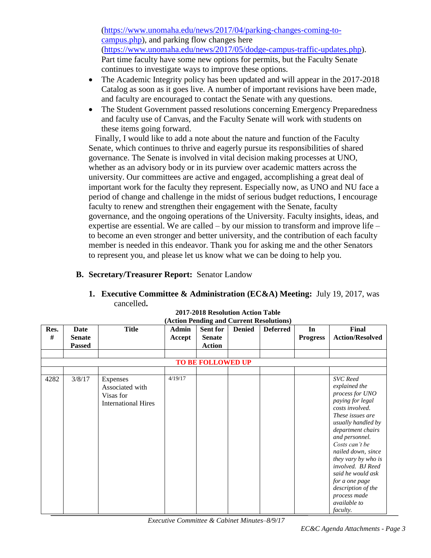[\(https://www.unomaha.edu/news/2017/04/parking-changes-coming-to](https://www.unomaha.edu/news/2017/04/parking-changes-coming-to-campus.php)[campus.php\)](https://www.unomaha.edu/news/2017/04/parking-changes-coming-to-campus.php), and parking flow changes here [\(https://www.unomaha.edu/news/2017/05/dodge-campus-traffic-updates.php\)](https://www.unomaha.edu/news/2017/05/dodge-campus-traffic-updates.php). Part time faculty have some new options for permits, but the Faculty Senate continues to investigate ways to improve these options.

- The Academic Integrity policy has been updated and will appear in the 2017-2018 Catalog as soon as it goes live. A number of important revisions have been made, and faculty are encouraged to contact the Senate with any questions.
- The Student Government passed resolutions concerning Emergency Preparedness and faculty use of Canvas, and the Faculty Senate will work with students on these items going forward.

 Finally, I would like to add a note about the nature and function of the Faculty Senate, which continues to thrive and eagerly pursue its responsibilities of shared governance. The Senate is involved in vital decision making processes at UNO, whether as an advisory body or in its purview over academic matters across the university. Our committees are active and engaged, accomplishing a great deal of important work for the faculty they represent. Especially now, as UNO and NU face a period of change and challenge in the midst of serious budget reductions, I encourage faculty to renew and strengthen their engagement with the Senate, faculty governance, and the ongoing operations of the University. Faculty insights, ideas, and expertise are essential. We are called – by our mission to transform and improve life – to become an even stronger and better university, and the contribution of each faculty member is needed in this endeavor. Thank you for asking me and the other Senators to represent you, and please let us know what we can be doing to help you.

### **B. Secretary/Treasurer Report:** Senator Landow

#### **1. Executive Committee & Administration (EC&A) Meeting:** July 19, 2017, was cancelled**.**

| Res. | Date                     | <b>Title</b>               | <b>Admin</b> | <b>Sent for</b> | <b>Denied</b> | <b>Deferred</b> | In              | Final                  |
|------|--------------------------|----------------------------|--------------|-----------------|---------------|-----------------|-----------------|------------------------|
| #    | <b>Senate</b>            |                            | Accept       | <b>Senate</b>   |               |                 | <b>Progress</b> | <b>Action/Resolved</b> |
|      | <b>Passed</b>            |                            |              | <b>Action</b>   |               |                 |                 |                        |
|      |                          |                            |              |                 |               |                 |                 |                        |
|      |                          |                            |              |                 |               |                 |                 |                        |
|      | <b>TO BE FOLLOWED UP</b> |                            |              |                 |               |                 |                 |                        |
|      |                          |                            |              |                 |               |                 |                 |                        |
| 4282 | 3/8/17                   | Expenses                   | 4/19/17      |                 |               |                 |                 | <b>SVC</b> Reed        |
|      |                          | Associated with            |              |                 |               |                 |                 | explained the          |
|      |                          | Visas for                  |              |                 |               |                 |                 | process for UNO        |
|      |                          | <b>International Hires</b> |              |                 |               |                 |                 | paying for legal       |
|      |                          |                            |              |                 |               |                 |                 | costs involved.        |
|      |                          |                            |              |                 |               |                 |                 | These issues are       |
|      |                          |                            |              |                 |               |                 |                 | usually handled by     |
|      |                          |                            |              |                 |               |                 |                 | department chairs      |
|      |                          |                            |              |                 |               |                 |                 | and personnel.         |
|      |                          |                            |              |                 |               |                 |                 | Costs can't be         |
|      |                          |                            |              |                 |               |                 |                 | nailed down, since     |
|      |                          |                            |              |                 |               |                 |                 | they vary by who is    |
|      |                          |                            |              |                 |               |                 |                 | involved. BJ Reed      |
|      |                          |                            |              |                 |               |                 |                 | said he would ask      |
|      |                          |                            |              |                 |               |                 |                 |                        |
|      |                          |                            |              |                 |               |                 |                 | for a one page         |
|      |                          |                            |              |                 |               |                 |                 | description of the     |
|      |                          |                            |              |                 |               |                 |                 | process made           |
|      |                          |                            |              |                 |               |                 |                 | available to           |
|      |                          |                            |              |                 |               |                 |                 | <i>faculty.</i>        |

#### **2017-2018 Resolution Action Table (Action Pending and Current Resolutions)**

*Executive Committee & Cabinet Minutes–8/9/17*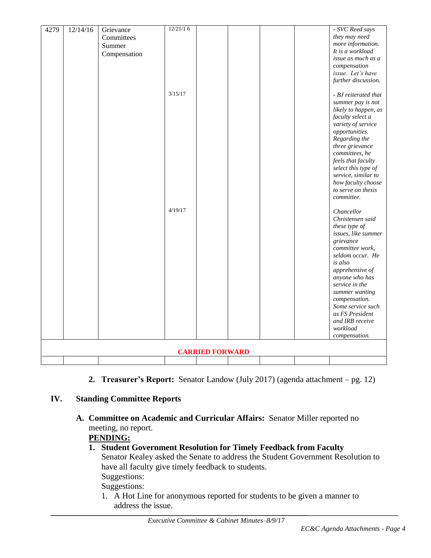| 4279                   | 12/14/16 | Grievance    | 12/21/16 |  |  |  |  | - SVC Reed says                   |
|------------------------|----------|--------------|----------|--|--|--|--|-----------------------------------|
|                        |          | Committees   |          |  |  |  |  | they may need                     |
|                        |          | Summer       |          |  |  |  |  | more information.                 |
|                        |          | Compensation |          |  |  |  |  | It is a workload                  |
|                        |          |              |          |  |  |  |  | issue as much as a                |
|                        |          |              |          |  |  |  |  | compensation                      |
|                        |          |              |          |  |  |  |  | issue. Let's have                 |
|                        |          |              |          |  |  |  |  | further discussion.               |
|                        |          |              |          |  |  |  |  |                                   |
|                        |          |              | 3/15/17  |  |  |  |  | - BJ reiterated that              |
|                        |          |              |          |  |  |  |  | summer pay is not                 |
|                        |          |              |          |  |  |  |  | likely to happen, as              |
|                        |          |              |          |  |  |  |  | faculty select a                  |
|                        |          |              |          |  |  |  |  | variety of service                |
|                        |          |              |          |  |  |  |  | opportunities.                    |
|                        |          |              |          |  |  |  |  | Regarding the                     |
|                        |          |              |          |  |  |  |  | three grievance<br>committees, he |
|                        |          |              |          |  |  |  |  | feels that faculty                |
|                        |          |              |          |  |  |  |  | select this type of               |
|                        |          |              |          |  |  |  |  | service, similar to               |
|                        |          |              |          |  |  |  |  | how faculty choose                |
|                        |          |              |          |  |  |  |  | to serve on thesis                |
|                        |          |              |          |  |  |  |  | committee.                        |
|                        |          |              | 4/19/17  |  |  |  |  | Chancellor                        |
|                        |          |              |          |  |  |  |  | Christensen said                  |
|                        |          |              |          |  |  |  |  | these type of                     |
|                        |          |              |          |  |  |  |  | issues, like summer               |
|                        |          |              |          |  |  |  |  | grievance                         |
|                        |          |              |          |  |  |  |  | committee work,                   |
|                        |          |              |          |  |  |  |  | seldom occur. He                  |
|                        |          |              |          |  |  |  |  | is also                           |
|                        |          |              |          |  |  |  |  | apprehensive of                   |
|                        |          |              |          |  |  |  |  | anyone who has                    |
|                        |          |              |          |  |  |  |  | service in the                    |
|                        |          |              |          |  |  |  |  | summer wanting                    |
|                        |          |              |          |  |  |  |  | compensation.                     |
|                        |          |              |          |  |  |  |  | Some service such                 |
|                        |          |              |          |  |  |  |  | as FS President                   |
|                        |          |              |          |  |  |  |  | and IRB receive                   |
|                        |          |              |          |  |  |  |  | workload                          |
|                        |          |              |          |  |  |  |  | compensation.                     |
| <b>CARRIED FORWARD</b> |          |              |          |  |  |  |  |                                   |
|                        |          |              |          |  |  |  |  |                                   |

**2. Treasurer's Report:** Senator Landow (July 2017) (agenda attachment – pg. 12)

# **IV. Standing Committee Reports**

**A. Committee on Academic and Curricular Affairs:** Senator Miller reported no meeting, no report.

# **PENDING:**

- **1. Student Government Resolution for Timely Feedback from Faculty** Senator Kealey asked the Senate to address the Student Government Resolution to have all faculty give timely feedback to students. Suggestions: Suggestions:
	- 1. A Hot Line for anonymous reported for students to be given a manner to address the issue.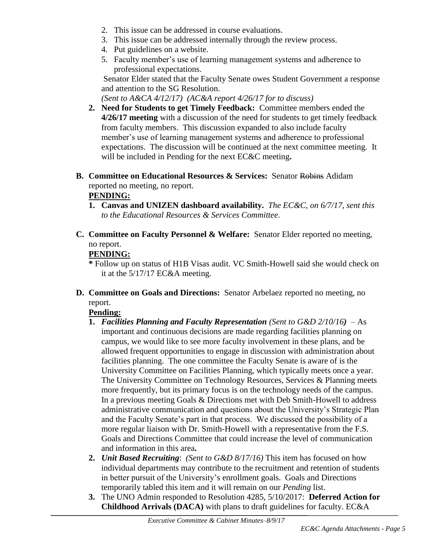- 2. This issue can be addressed in course evaluations.
- 3. This issue can be addressed internally through the review process.
- 4. Put guidelines on a website.
- 5. Faculty member's use of learning management systems and adherence to professional expectations.

Senator Elder stated that the Faculty Senate owes Student Government a response and attention to the SG Resolution.

*(Sent to A&CA 4/12/17) (AC&A report 4/26/17 for to discuss)*

- **2. Need for Students to get Timely Feedback:** Committee members ended the **4/26/17 meeting** with a discussion of the need for students to get timely feedback from faculty members. This discussion expanded to also include faculty member's use of learning management systems and adherence to professional expectations. The discussion will be continued at the next committee meeting. It will be included in Pending for the next EC&C meeting**.**
- **B. Committee on Educational Resources & Services:** Senator Robins Adidam reported no meeting, no report.

# **PENDING:**

- **1. Canvas and UNIZEN dashboard availability.** *The EC&C, on 6/7/17, sent this to the Educational Resources & Services Committee.*
- **C. Committee on Faculty Personnel & Welfare:** Senator Elder reported no meeting, no report.

# **PENDING:**

**\*** Follow up on status of H1B Visas audit. VC Smith-Howell said she would check on it at the 5/17/17 EC&A meeting.

**D. Committee on Goals and Directions:** Senator Arbelaez reported no meeting, no report.

# **Pending:**

- **1.** *Facilities Planning and Faculty Representation (Sent to G&D 2/10/16)* As important and continuous decisions are made regarding facilities planning on campus, we would like to see more faculty involvement in these plans, and be allowed frequent opportunities to engage in discussion with administration about facilities planning. The one committee the Faculty Senate is aware of is the University Committee on Facilities Planning, which typically meets once a year. The University Committee on Technology Resources, Services & Planning meets more frequently, but its primary focus is on the technology needs of the campus. In a previous meeting Goals & Directions met with Deb Smith-Howell to address administrative communication and questions about the University's Strategic Plan and the Faculty Senate's part in that process. We discussed the possibility of a more regular liaison with Dr. Smith-Howell with a representative from the F.S. Goals and Directions Committee that could increase the level of communication and information in this area**.**
- **2.** *Unit Based Recruiting*: *(Sent to G&D 8/17/16)* This item has focused on how individual departments may contribute to the recruitment and retention of students in better pursuit of the University's enrollment goals. Goals and Directions temporarily tabled this item and it will remain on our *Pending* list.
- **3.** The UNO Admin responded to Resolution 4285, 5/10/2017: **Deferred Action for Childhood Arrivals (DACA)** with plans to draft guidelines for faculty. EC&A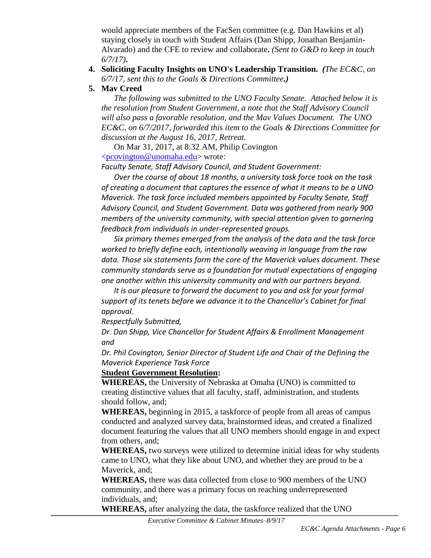would appreciate members of the FacSen committee (e.g. Dan Hawkins et al) staying closely in touch with Student Affairs (Dan Shipp, Jonathan Benjamin-Alvarado) and the CFE to review and collaborate**.** *(Sent to G&D to keep in touch 6/7/17)***.**

#### **4. Soliciting Faculty Insights on UNO's Leadership Transition.** *(The EC&C, on 6/7/17, sent this to the Goals & Directions Committee.)*

#### **5. Mav Creed**

*The following was submitted to the UNO Faculty Senate. Attached below it is the resolution from Student Government, a note that the Staff Advisory Council will also pass a favorable resolution, and the Mav Values Document. The UNO EC&C, on 6/7/2017, forwarded this item to the Goals & Directions Committee for discussion at the August 16, 2017, Retreat.*

On Mar 31, 2017, at 8:32 AM, Philip Covington [<pcovington@unomaha.edu>](mailto:pcovington@unomaha.edu) wrote:

*Faculty Senate, Staff Advisory Council, and Student Government:*

*Over the course of about 18 months, a university task force took on the task of creating a document that captures the essence of what it means to be a UNO Maverick. The task force included members appointed by Faculty Senate, Staff Advisory Council, and Student Government. Data was gathered from nearly 900 members of the university community, with special attention given to garnering feedback from individuals in under-represented groups.*

*Six primary themes emerged from the analysis of the data and the task force worked to briefly define each, intentionally weaving in language from the raw data. Those six statements form the core of the Maverick values document. These community standards serve as a foundation for mutual expectations of engaging one another within this university community and with our partners beyond.*

*It is our pleasure to forward the document to you and ask for your formal support of its tenets before we advance it to the Chancellor's Cabinet for final approval.*

*Respectfully Submitted,*

*Dr. Dan Shipp, Vice Chancellor for Student Affairs & Enrollment Management and*

*Dr. Phil Covington, Senior Director of Student Life and Chair of the Defining the Maverick Experience Task Force*

#### **Student Government Resolution:**

**WHEREAS,** the University of Nebraska at Omaha (UNO) is committed to creating distinctive values that all faculty, staff, administration, and students should follow, and;

**WHEREAS,** beginning in 2015, a taskforce of people from all areas of campus conducted and analyzed survey data, brainstormed ideas, and created a finalized document featuring the values that all UNO members should engage in and expect from others, and;

**WHEREAS,** two surveys were utilized to determine initial ideas for why students came to UNO, what they like about UNO, and whether they are proud to be a Maverick, and;

**WHEREAS,** there was data collected from close to 900 members of the UNO community, and there was a primary focus on reaching underrepresented individuals, and;

**WHEREAS,** after analyzing the data, the taskforce realized that the UNO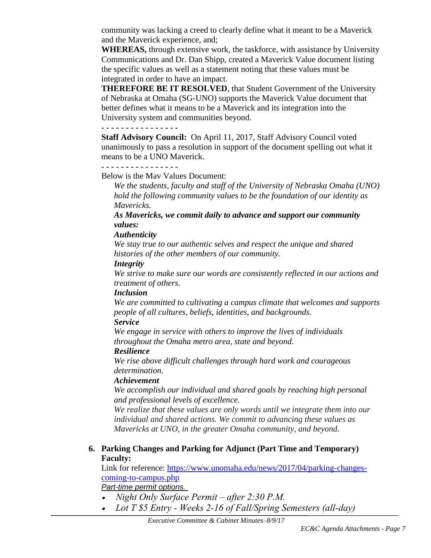community was lacking a creed to clearly define what it meant to be a Maverick and the Maverick experience, and;

**WHEREAS,** through extensive work, the taskforce, with assistance by University Communications and Dr. Dan Shipp, created a Maverick Value document listing the specific values as well as a statement noting that these values must be integrated in order to have an impact.

**THEREFORE BE IT RESOLVED**, that Student Government of the University of Nebraska at Omaha (SG-UNO) supports the Maverick Value document that better defines what it means to be a Maverick and its integration into the University system and communities beyond.

### **- - - - - - - - - - - - - - - -**

**Staff Advisory Council:** On April 11, 2017, Staff Advisory Council voted unanimously to pass a resolution in support of the document spelling out what it means to be a UNO Maverick.

#### **- - - - - - - - - - - - - - - -**

Below is the Mav Values Document:

*We the students, faculty and staff of the University of Nebraska Omaha (UNO) hold the following community values to be the foundation of our identity as Mavericks.*

*As Mavericks, we commit daily to advance and support our community values:*

#### *Authenticity*

*We stay true to our authentic selves and respect the unique and shared histories of the other members of our community.*

#### *Integrity*

*We strive to make sure our words are consistently reflected in our actions and treatment of others.*

#### *Inclusion*

*We are committed to cultivating a campus climate that welcomes and supports people of all cultures, beliefs, identities, and backgrounds.*

### *Service*

*We engage in service with others to improve the lives of individuals throughout the Omaha metro area, state and beyond.* 

### *Resilience*

*We rise above difficult challenges through hard work and courageous determination.* 

### *Achievement*

*We accomplish our individual and shared goals by reaching high personal and professional levels of excellence.*

*We realize that these values are only words until we integrate them into our individual and shared actions. We commit to advancing these values as Mavericks at UNO, in the greater Omaha community, and beyond.*

### **6. Parking Changes and Parking for Adjunct (Part Time and Temporary) Faculty:**

Link for reference: [https://www.unomaha.edu/news/2017/04/parking-changes](https://www.unomaha.edu/news/2017/04/parking-changes-coming-to-campus.php)[coming-to-campus.php](https://www.unomaha.edu/news/2017/04/parking-changes-coming-to-campus.php)

*Part-time permit options.*

- *Night Only Surface Permit – after 2:30 P.M.*
- *Lot T \$5 Entry - Weeks 2-16 of Fall/Spring Semesters (all-day)*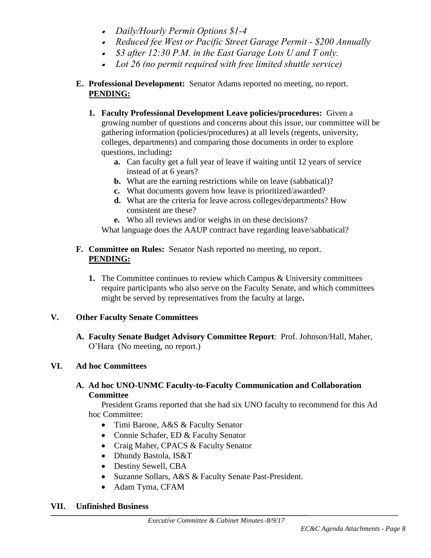- *Daily/Hourly Permit Options \$1-4*
- *Reduced fee West or Pacific Street Garage Permit - \$200 Annually*
- *\$3 after 12:30 P.M. in the East Garage Lots U and T only.*
- *Lot 26 (no permit required with free limited shuttle service)*

# **E. Professional Development:** Senator Adams reported no meeting, no report. **PENDING:**

- **1. Faculty Professional Development Leave policies/procedures:** Given a growing number of questions and concerns about this issue, our committee will be gathering information (policies/procedures) at all levels (regents, university, colleges, departments) and comparing those documents in order to explore questions, including**:** 
	- **a.** Can faculty get a full year of leave if waiting until 12 years of service instead of at 6 years?
	- **b.** What are the earning restrictions while on leave (sabbatical)?
	- **c.** What documents govern how leave is prioritized/awarded?
	- **d.** What are the criteria for leave across colleges/departments? How consistent are these?

**e.** Who all reviews and/or weighs in on these decisions?

What language does the AAUP contract have regarding leave/sabbatical?

## **F. Committee on Rules:** Senator Nash reported no meeting, no report. **PENDING:**

**1.** The Committee continues to review which Campus & University committees require participants who also serve on the Faculty Senate, and which committees might be served by representatives from the faculty at large**.** 

# **V. Other Faculty Senate Committees**

**A. Faculty Senate Budget Advisory Committee Report**: Prof. Johnson/Hall, Maher, O'Hara (No meeting, no report.)

# **VI. Ad hoc Committees**

## **A. Ad hoc UNO-UNMC Faculty-to-Faculty Communication and Collaboration Committee**

President Grams reported that she had six UNO faculty to recommend for this Ad hoc Committee:

- Timi Barone, A&S & Faculty Senator
- Connie Schafer, ED & Faculty Senator
- Craig Maher, CPACS & Faculty Senator
- Dhundy Bastola, IS&T
- Destiny Sewell, CBA
- Suzanne Sollars, A&S & Faculty Senate Past-President.
- Adam Tyma, CFAM

# **VII. Unfinished Business**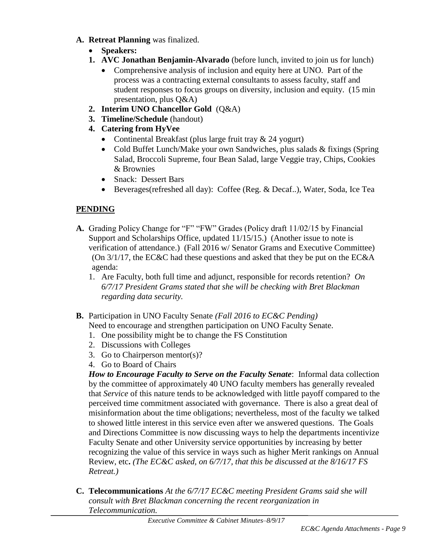- **A. Retreat Planning** was finalized.
	- **Speakers:**
	- **1. AVC Jonathan Benjamin-Alvarado** (before lunch, invited to join us for lunch)
		- Comprehensive analysis of inclusion and equity here at UNO. Part of the process was a contracting external consultants to assess faculty, staff and student responses to focus groups on diversity, inclusion and equity. (15 min presentation, plus Q&A)
	- **2. Interim UNO Chancellor Gold** (Q&A)
	- **3. Timeline/Schedule** (handout)
	- **4. Catering from HyVee**
		- Continental Breakfast (plus large fruit tray & 24 yogurt)
		- Cold Buffet Lunch/Make your own Sandwiches, plus salads & fixings (Spring) Salad, Broccoli Supreme, four Bean Salad, large Veggie tray, Chips, Cookies & Brownies
		- Snack: Dessert Bars
		- Beverages(refreshed all day): Coffee (Reg. & Decaf..), Water, Soda, Ice Tea

# **PENDING**

- **A.** Grading Policy Change for "F" "FW" Grades (Policy draft 11/02/15 by Financial Support and Scholarships Office, updated 11/15/15.) (Another issue to note is verification of attendance.) (Fall 2016 w/ Senator Grams and Executive Committee) (On 3/1/17, the EC&C had these questions and asked that they be put on the EC&A agenda:
	- 1. Are Faculty, both full time and adjunct, responsible for records retention? *On 6/7/17 President Grams stated that she will be checking with Bret Blackman regarding data security.*
- **B.** Participation in UNO Faculty Senate *(Fall 2016 to EC&C Pending)* Need to encourage and strengthen participation on UNO Faculty Senate.
	- 1. One possibility might be to change the FS Constitution
	- 2. Discussions with Colleges
	- 3. Go to Chairperson mentor(s)?
	- 4. Go to Board of Chairs

*How to Encourage Faculty to Serve on the Faculty Senate*: Informal data collection by the committee of approximately 40 UNO faculty members has generally revealed that *Service* of this nature tends to be acknowledged with little payoff compared to the perceived time commitment associated with governance. There is also a great deal of misinformation about the time obligations; nevertheless, most of the faculty we talked to showed little interest in this service even after we answered questions. The Goals and Directions Committee is now discussing ways to help the departments incentivize Faculty Senate and other University service opportunities by increasing by better recognizing the value of this service in ways such as higher Merit rankings on Annual Review, etc**.** *(The EC&C asked, on 6/7/17, that this be discussed at the 8/16/17 FS Retreat.)*

**C. Telecommunications** *At the 6/7/17 EC&C meeting President Grams said she will consult with Bret Blackman concerning the recent reorganization in Telecommunication.*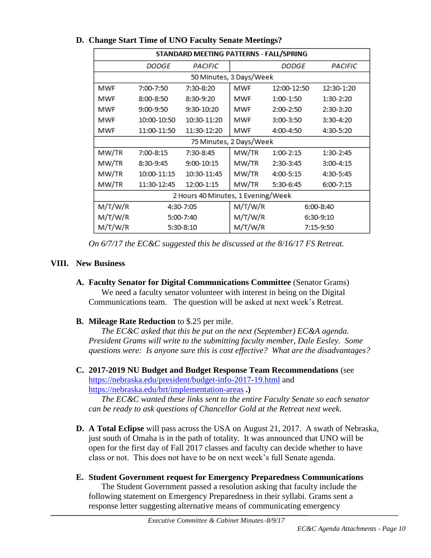| STANDARD MEETING PATTERNS - FALL/SPRING |              |             |         |              |             |  |  |
|-----------------------------------------|--------------|-------------|---------|--------------|-------------|--|--|
|                                         | <i>DODGE</i> | PACIFIC     |         | <i>DODGE</i> | PACIFIC     |  |  |
| 50 Minutes, 3 Days/Week                 |              |             |         |              |             |  |  |
| MWF                                     | 7:00-7:50    | 7:30-8:20   | MWF     | 12:00-12:50  | 12:30-1:20  |  |  |
| MWF                                     | 8:00-8:50    | 8:30-9:20   | MWF     | 1:00-1:50    | 1:30-2:20   |  |  |
| MWF                                     | $9:00-9:50$  | 9:30-10:20  | MWF     | 2:00-2:50    | 2:30-3:20   |  |  |
| MWF                                     | 10:00-10:50  | 10:30-11:20 | MWF     | 3:00-3:50    | 3:30-4:20   |  |  |
| MWF                                     | 11:00-11:50  | 11:30-12:20 | MWF     | 4:00-4:50    | 4:30-5:20   |  |  |
| 75 Minutes, 2 Days/Week                 |              |             |         |              |             |  |  |
| MW/TR                                   | 7:00-8:15    | 7:30-8:45   | MW/TR   | 1:00-2:15    | 1:30-2:45   |  |  |
| MW/TR                                   | 8:30-9:45    | 9:00-10:15  | MW/TR   | 2:30-3:45    | $3:00-4:15$ |  |  |
| MW/TR                                   | 10:00-11:15  | 10:30-11:45 | MW/TR   | 4:00-5:15    | 4:30-5:45   |  |  |
| MW/TR                                   | 11:30-12:45  | 12:00-1:15  | MW/TR   | 5:30-6:45    | 6:00-7:15   |  |  |
| 2 Hours 40 Minutes, 1 Evening/Week      |              |             |         |              |             |  |  |
| M/T/W/R                                 | 4:30-7:05    |             | M/T/W/R |              | 6:00-8:40   |  |  |
| M/T/W/R                                 | 5:00-7:40    |             | M/T/W/R |              | 6:30-9:10   |  |  |
| M/T/W/R                                 | 5:30-8:10    |             | M/T/W/R |              | 7:15-9:50   |  |  |

## **D. Change Start Time of UNO Faculty Senate Meetings?**

*On 6/7/17 the EC&C suggested this be discussed at the 8/16/17 FS Retreat.*

# **VIII. New Business**

- **A. Faculty Senator for Digital Communications Committee** (Senator Grams) We need a faculty senator volunteer with interest in being on the Digital Communications team. The question will be asked at next week's Retreat.
- **B. Mileage Rate Reduction** to \$.25 per mile.

*The EC&C asked that this be put on the next (September) EC&A agenda. President Grams will write to the submitting faculty member, Dale Eesley. Some questions were: Is anyone sure this is cost effective? What are the disadvantages?*

**C. 2017-2019 NU Budget and Budget Response Team Recommendations** (see <https://nebraska.edu/president/budget-info-2017-19.html> and <https://nebraska.edu/brt/implementation-areas> **.)** 

*The EC&C wanted these links sent to the entire Faculty Senate so each senator can be ready to ask questions of Chancellor Gold at the Retreat next week.* 

- **D. A Total Eclipse** will pass across the USA on August 21, 2017. A swath of Nebraska, just south of Omaha is in the path of totality. It was announced that UNO will be open for the first day of Fall 2017 classes and faculty can decide whether to have class or not. This does not have to be on next week's full Senate agenda.
- **E. Student Government request for Emergency Preparedness Communications**  The Student Government passed a resolution asking that faculty include the following statement on Emergency Preparedness in their syllabi. Grams sent a response letter suggesting alternative means of communicating emergency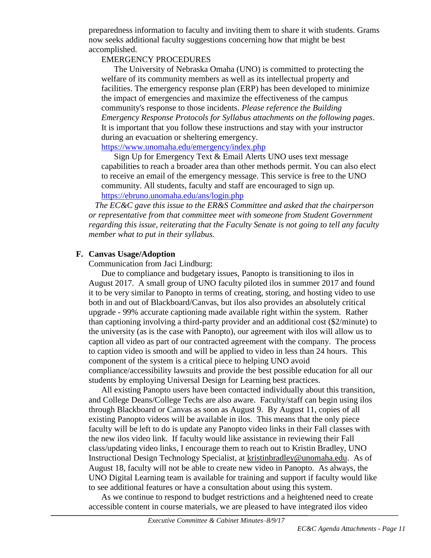preparedness information to faculty and inviting them to share it with students. Grams now seeks additional faculty suggestions concerning how that might be best accomplished.

#### EMERGENCY PROCEDURES

The University of Nebraska Omaha (UNO) is committed to protecting the welfare of its community members as well as its intellectual property and facilities. The emergency response plan (ERP) has been developed to minimize the impact of emergencies and maximize the effectiveness of the campus community's response to those incidents. *Please reference the Building Emergency Response Protocols for Syllabus attachments on the following pages*. It is important that you follow these instructions and stay with your instructor during an evacuation or sheltering emergency.

<https://www.unomaha.edu/emergency/index.php>

Sign Up for Emergency Text & Email Alerts UNO uses text message capabilities to reach a broader area than other methods permit. You can also elect to receive an email of the emergency message. This service is free to the UNO community. All students, faculty and staff are encouraged to sign up. <https://ebruno.unomaha.edu/ans/login.php>

*The EC&C gave this issue to the ER&S Committee and asked that the chairperson or representative from that committee meet with someone from Student Government regarding this issue, reiterating that the Faculty Senate is not going to tell any faculty member what to put in their syllabus.*

## **F. Canvas Usage/Adoption**

Communication from Jaci Lindburg:

Due to compliance and budgetary issues, Panopto is transitioning to ilos in August 2017. A small group of UNO faculty piloted ilos in summer 2017 and found it to be very similar to Panopto in terms of creating, storing, and hosting video to use both in and out of Blackboard/Canvas, but ilos also provides an absolutely critical upgrade - 99% accurate captioning made available right within the system. Rather than captioning involving a third-party provider and an additional cost (\$2/minute) to the university (as is the case with Panopto), our agreement with ilos will allow us to caption all video as part of our contracted agreement with the company. The process to caption video is smooth and will be applied to video in less than 24 hours. This component of the system is a critical piece to helping UNO avoid compliance/accessibility lawsuits and provide the best possible education for all our students by employing Universal Design for Learning best practices.

All existing Panopto users have been contacted individually about this transition, and College Deans/College Techs are also aware. Faculty/staff can begin using ilos through Blackboard or Canvas as soon as August 9. By August 11, copies of all existing Panopto videos will be available in ilos. This means that the only piece faculty will be left to do is update any Panopto video links in their Fall classes with the new ilos video link. If faculty would like assistance in reviewing their Fall class/updating video links, I encourage them to reach out to Kristin Bradley, UNO Instructional Design Technology Specialist, at [kristinbradley@unomaha.edu.](mailto:kristinbradley@unomaha.edu) As of August 18, faculty will not be able to create new video in Panopto. As always, the UNO Digital Learning team is available for training and support if faculty would like to see additional features or have a consultation about using this system.

As we continue to respond to budget restrictions and a heightened need to create accessible content in course materials, we are pleased to have integrated ilos video